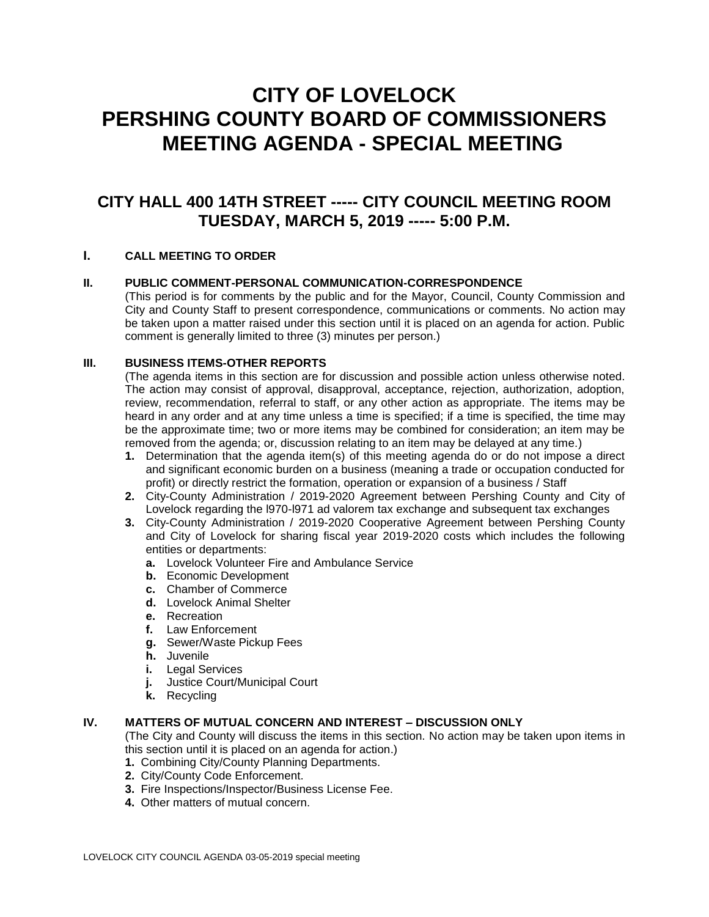# **CITY OF LOVELOCK PERSHING COUNTY BOARD OF COMMISSIONERS MEETING AGENDA - SPECIAL MEETING**

# **CITY HALL 400 14TH STREET ----- CITY COUNCIL MEETING ROOM TUESDAY, MARCH 5, 2019 ----- 5:00 P.M.**

# **I. CALL MEETING TO ORDER**

# **II. PUBLIC COMMENT-PERSONAL COMMUNICATION-CORRESPONDENCE**

(This period is for comments by the public and for the Mayor, Council, County Commission and City and County Staff to present correspondence, communications or comments. No action may be taken upon a matter raised under this section until it is placed on an agenda for action. Public comment is generally limited to three (3) minutes per person.)

#### **III. BUSINESS ITEMS-OTHER REPORTS**

(The agenda items in this section are for discussion and possible action unless otherwise noted. The action may consist of approval, disapproval, acceptance, rejection, authorization, adoption, review, recommendation, referral to staff, or any other action as appropriate. The items may be heard in any order and at any time unless a time is specified; if a time is specified, the time may be the approximate time; two or more items may be combined for consideration; an item may be removed from the agenda; or, discussion relating to an item may be delayed at any time.)

- **1.** Determination that the agenda item(s) of this meeting agenda do or do not impose a direct and significant economic burden on a business (meaning a trade or occupation conducted for profit) or directly restrict the formation, operation or expansion of a business / Staff
- **2.** City-County Administration / 2019-2020 Agreement between Pershing County and City of Lovelock regarding the l970-l971 ad valorem tax exchange and subsequent tax exchanges
- **3.** City-County Administration / 2019-2020 Cooperative Agreement between Pershing County and City of Lovelock for sharing fiscal year 2019-2020 costs which includes the following entities or departments:
	- **a.** Lovelock Volunteer Fire and Ambulance Service
	- **b.** Economic Development
	- **c.** Chamber of Commerce
	- **d.** Lovelock Animal Shelter
	- **e.** Recreation
	- **f.** Law Enforcement
	- **g.** Sewer/Waste Pickup Fees
	- **h.** Juvenile
	- **i.** Legal Services
	- **j.** Justice Court/Municipal Court
	- **k.** Recycling

# **IV. MATTERS OF MUTUAL CONCERN AND INTEREST – DISCUSSION ONLY**

(The City and County will discuss the items in this section. No action may be taken upon items in this section until it is placed on an agenda for action.)

- **1.** Combining City/County Planning Departments.
- **2.** City/County Code Enforcement.
- **3.** Fire Inspections/Inspector/Business License Fee.
- **4.** Other matters of mutual concern.